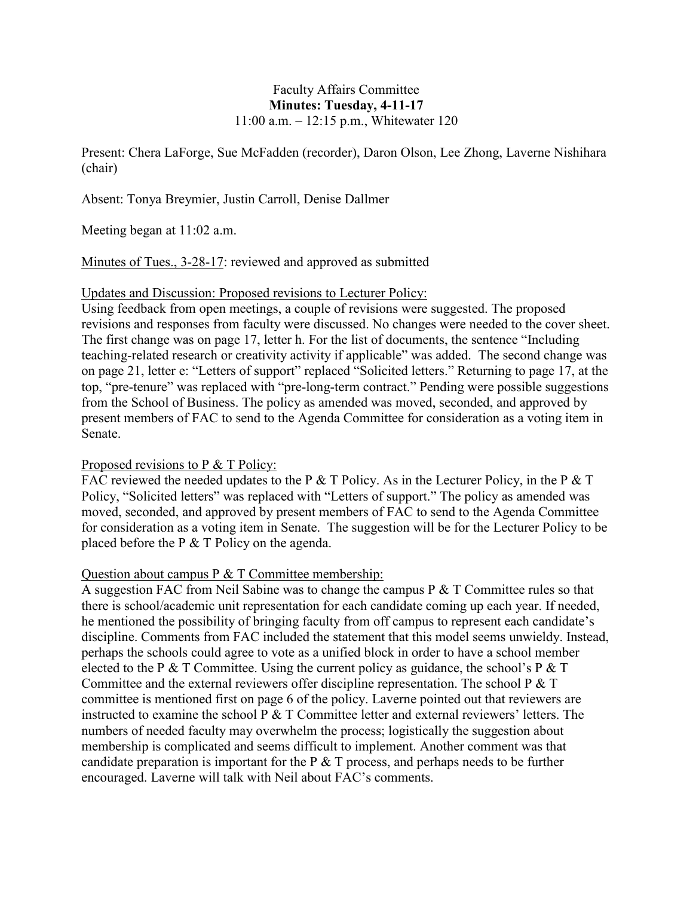## Faculty Affairs Committee **Minutes: Tuesday, 4-11-17** [11:00 a.m. –](x-apple-data-detectors://5/) 12:15 p.m., Whitewater 120

Present: Chera LaForge, Sue McFadden (recorder), Daron Olson, Lee Zhong, Laverne Nishihara (chair)

Absent: Tonya Breymier, Justin Carroll, Denise Dallmer

Meeting began at 11:02 a.m.

Minutes of Tues., 3-28-17: reviewed and approved as submitted

Updates and Discussion: Proposed revisions to Lecturer Policy:

Using feedback from open meetings, a couple of revisions were suggested. The proposed revisions and responses from faculty were discussed. No changes were needed to the cover sheet. The first change was on page 17, letter h. For the list of documents, the sentence "Including teaching-related research or creativity activity if applicable" was added. The second change was on page 21, letter e: "Letters of support" replaced "Solicited letters." Returning to page 17, at the top, "pre-tenure" was replaced with "pre-long-term contract." Pending were possible suggestions from the School of Business. The policy as amended was moved, seconded, and approved by present members of FAC to send to the Agenda Committee for consideration as a voting item in Senate.

## Proposed revisions to P & T Policy:

FAC reviewed the needed updates to the P  $&$  T Policy. As in the Lecturer Policy, in the P  $&$  T Policy, "Solicited letters" was replaced with "Letters of support." The policy as amended was moved, seconded, and approved by present members of FAC to send to the Agenda Committee for consideration as a voting item in Senate. The suggestion will be for the Lecturer Policy to be placed before the P & T Policy on the agenda.

## Question about campus P & T Committee membership:

A suggestion FAC from Neil Sabine was to change the campus  $P \& T$  Committee rules so that there is school/academic unit representation for each candidate coming up each year. If needed, he mentioned the possibility of bringing faculty from off campus to represent each candidate's discipline. Comments from FAC included the statement that this model seems unwieldy. Instead, perhaps the schools could agree to vote as a unified block in order to have a school member elected to the P  $&$  T Committee. Using the current policy as guidance, the school's P  $&$  T Committee and the external reviewers offer discipline representation. The school P & T committee is mentioned first on page 6 of the policy. Laverne pointed out that reviewers are instructed to examine the school P & T Committee letter and external reviewers' letters. The numbers of needed faculty may overwhelm the process; logistically the suggestion about membership is complicated and seems difficult to implement. Another comment was that candidate preparation is important for the  $P \& T$  process, and perhaps needs to be further encouraged. Laverne will talk with Neil about FAC's comments.